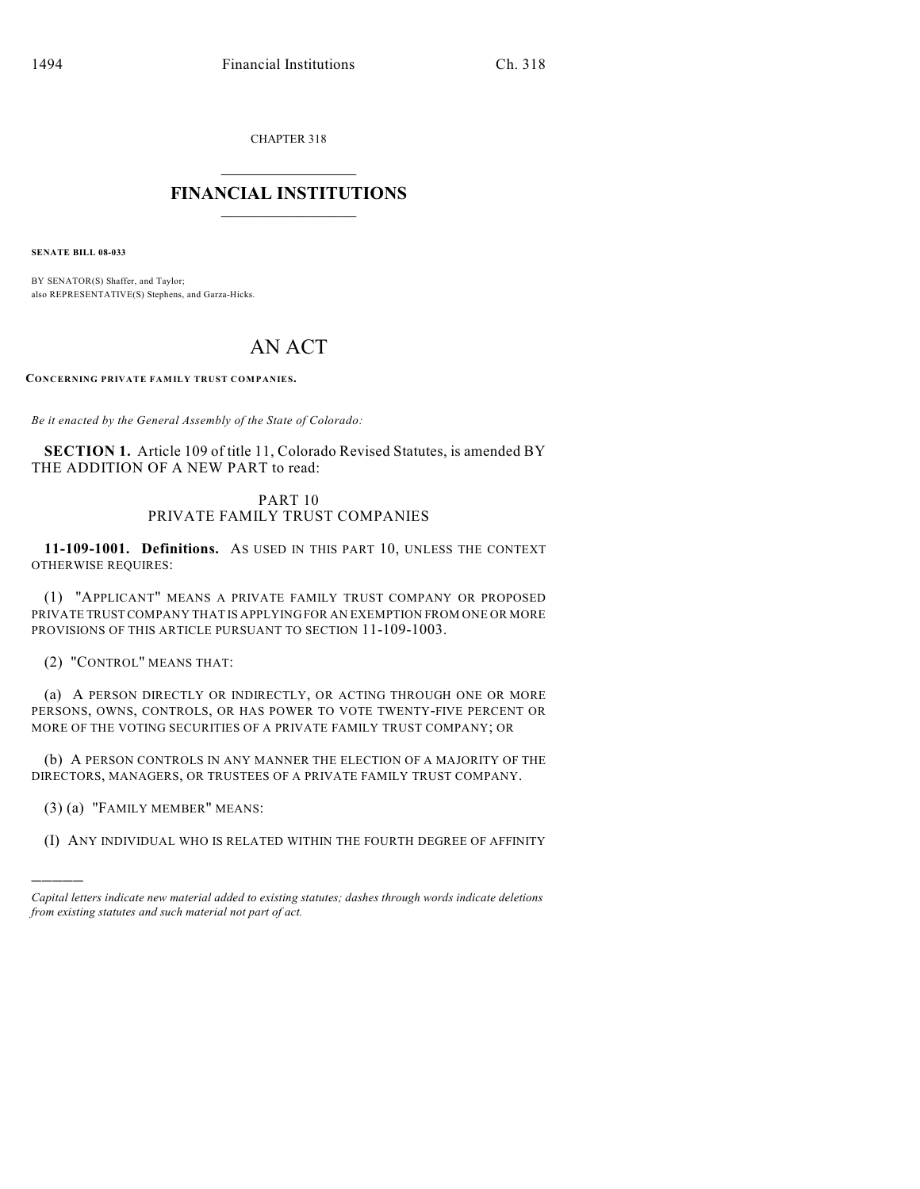CHAPTER 318

## $\overline{\phantom{a}}$  . The set of the set of the set of the set of the set of the set of the set of the set of the set of the set of the set of the set of the set of the set of the set of the set of the set of the set of the set o **FINANCIAL INSTITUTIONS**  $\frac{1}{2}$  ,  $\frac{1}{2}$  ,  $\frac{1}{2}$  ,  $\frac{1}{2}$  ,  $\frac{1}{2}$  ,  $\frac{1}{2}$  ,  $\frac{1}{2}$

**SENATE BILL 08-033**

BY SENATOR(S) Shaffer, and Taylor; also REPRESENTATIVE(S) Stephens, and Garza-Hicks.

## AN ACT

**CONCERNING PRIVATE FAMILY TRUST COMPANIES.**

*Be it enacted by the General Assembly of the State of Colorado:*

**SECTION 1.** Article 109 of title 11, Colorado Revised Statutes, is amended BY THE ADDITION OF A NEW PART to read:

## PART 10 PRIVATE FAMILY TRUST COMPANIES

**11-109-1001. Definitions.** AS USED IN THIS PART 10, UNLESS THE CONTEXT OTHERWISE REQUIRES:

(1) "APPLICANT" MEANS A PRIVATE FAMILY TRUST COMPANY OR PROPOSED PRIVATE TRUST COMPANY THAT IS APPLYING FOR AN EXEMPTION FROM ONE OR MORE PROVISIONS OF THIS ARTICLE PURSUANT TO SECTION 11-109-1003.

(2) "CONTROL" MEANS THAT:

(a) A PERSON DIRECTLY OR INDIRECTLY, OR ACTING THROUGH ONE OR MORE PERSONS, OWNS, CONTROLS, OR HAS POWER TO VOTE TWENTY-FIVE PERCENT OR MORE OF THE VOTING SECURITIES OF A PRIVATE FAMILY TRUST COMPANY; OR

(b) A PERSON CONTROLS IN ANY MANNER THE ELECTION OF A MAJORITY OF THE DIRECTORS, MANAGERS, OR TRUSTEES OF A PRIVATE FAMILY TRUST COMPANY.

(3) (a) "FAMILY MEMBER" MEANS:

)))))

(I) ANY INDIVIDUAL WHO IS RELATED WITHIN THE FOURTH DEGREE OF AFFINITY

*Capital letters indicate new material added to existing statutes; dashes through words indicate deletions from existing statutes and such material not part of act.*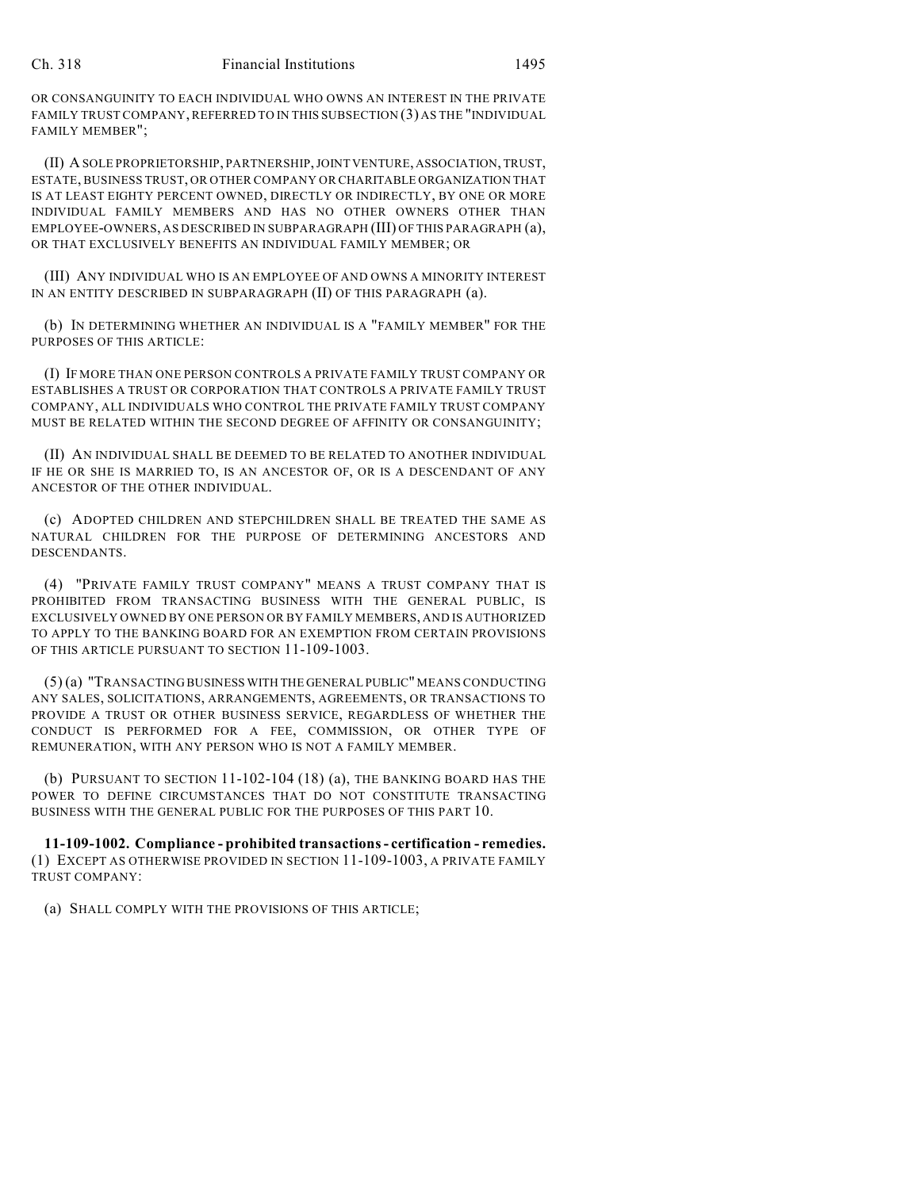OR CONSANGUINITY TO EACH INDIVIDUAL WHO OWNS AN INTEREST IN THE PRIVATE FAMILY TRUST COMPANY, REFERRED TO IN THIS SUBSECTION (3) AS THE "INDIVIDUAL FAMILY MEMBER";

(II) A SOLE PROPRIETORSHIP, PARTNERSHIP, JOINT VENTURE, ASSOCIATION, TRUST, ESTATE, BUSINESS TRUST, OR OTHER COMPANY OR CHARITABLE ORGANIZATION THAT IS AT LEAST EIGHTY PERCENT OWNED, DIRECTLY OR INDIRECTLY, BY ONE OR MORE INDIVIDUAL FAMILY MEMBERS AND HAS NO OTHER OWNERS OTHER THAN EMPLOYEE-OWNERS, AS DESCRIBED IN SUBPARAGRAPH (III) OF THIS PARAGRAPH (a), OR THAT EXCLUSIVELY BENEFITS AN INDIVIDUAL FAMILY MEMBER; OR

(III) ANY INDIVIDUAL WHO IS AN EMPLOYEE OF AND OWNS A MINORITY INTEREST IN AN ENTITY DESCRIBED IN SUBPARAGRAPH (II) OF THIS PARAGRAPH (a).

(b) IN DETERMINING WHETHER AN INDIVIDUAL IS A "FAMILY MEMBER" FOR THE PURPOSES OF THIS ARTICLE:

(I) IF MORE THAN ONE PERSON CONTROLS A PRIVATE FAMILY TRUST COMPANY OR ESTABLISHES A TRUST OR CORPORATION THAT CONTROLS A PRIVATE FAMILY TRUST COMPANY, ALL INDIVIDUALS WHO CONTROL THE PRIVATE FAMILY TRUST COMPANY MUST BE RELATED WITHIN THE SECOND DEGREE OF AFFINITY OR CONSANGUINITY;

(II) AN INDIVIDUAL SHALL BE DEEMED TO BE RELATED TO ANOTHER INDIVIDUAL IF HE OR SHE IS MARRIED TO, IS AN ANCESTOR OF, OR IS A DESCENDANT OF ANY ANCESTOR OF THE OTHER INDIVIDUAL.

(c) ADOPTED CHILDREN AND STEPCHILDREN SHALL BE TREATED THE SAME AS NATURAL CHILDREN FOR THE PURPOSE OF DETERMINING ANCESTORS AND DESCENDANTS.

(4) "PRIVATE FAMILY TRUST COMPANY" MEANS A TRUST COMPANY THAT IS PROHIBITED FROM TRANSACTING BUSINESS WITH THE GENERAL PUBLIC, IS EXCLUSIVELY OWNED BY ONE PERSON OR BY FAMILY MEMBERS, AND IS AUTHORIZED TO APPLY TO THE BANKING BOARD FOR AN EXEMPTION FROM CERTAIN PROVISIONS OF THIS ARTICLE PURSUANT TO SECTION 11-109-1003.

(5) (a) "TRANSACTING BUSINESS WITH THE GENERAL PUBLIC" MEANS CONDUCTING ANY SALES, SOLICITATIONS, ARRANGEMENTS, AGREEMENTS, OR TRANSACTIONS TO PROVIDE A TRUST OR OTHER BUSINESS SERVICE, REGARDLESS OF WHETHER THE CONDUCT IS PERFORMED FOR A FEE, COMMISSION, OR OTHER TYPE OF REMUNERATION, WITH ANY PERSON WHO IS NOT A FAMILY MEMBER.

(b) PURSUANT TO SECTION 11-102-104 (18) (a), THE BANKING BOARD HAS THE POWER TO DEFINE CIRCUMSTANCES THAT DO NOT CONSTITUTE TRANSACTING BUSINESS WITH THE GENERAL PUBLIC FOR THE PURPOSES OF THIS PART 10.

**11-109-1002. Compliance - prohibited transactions - certification - remedies.** (1) EXCEPT AS OTHERWISE PROVIDED IN SECTION 11-109-1003, A PRIVATE FAMILY TRUST COMPANY:

(a) SHALL COMPLY WITH THE PROVISIONS OF THIS ARTICLE;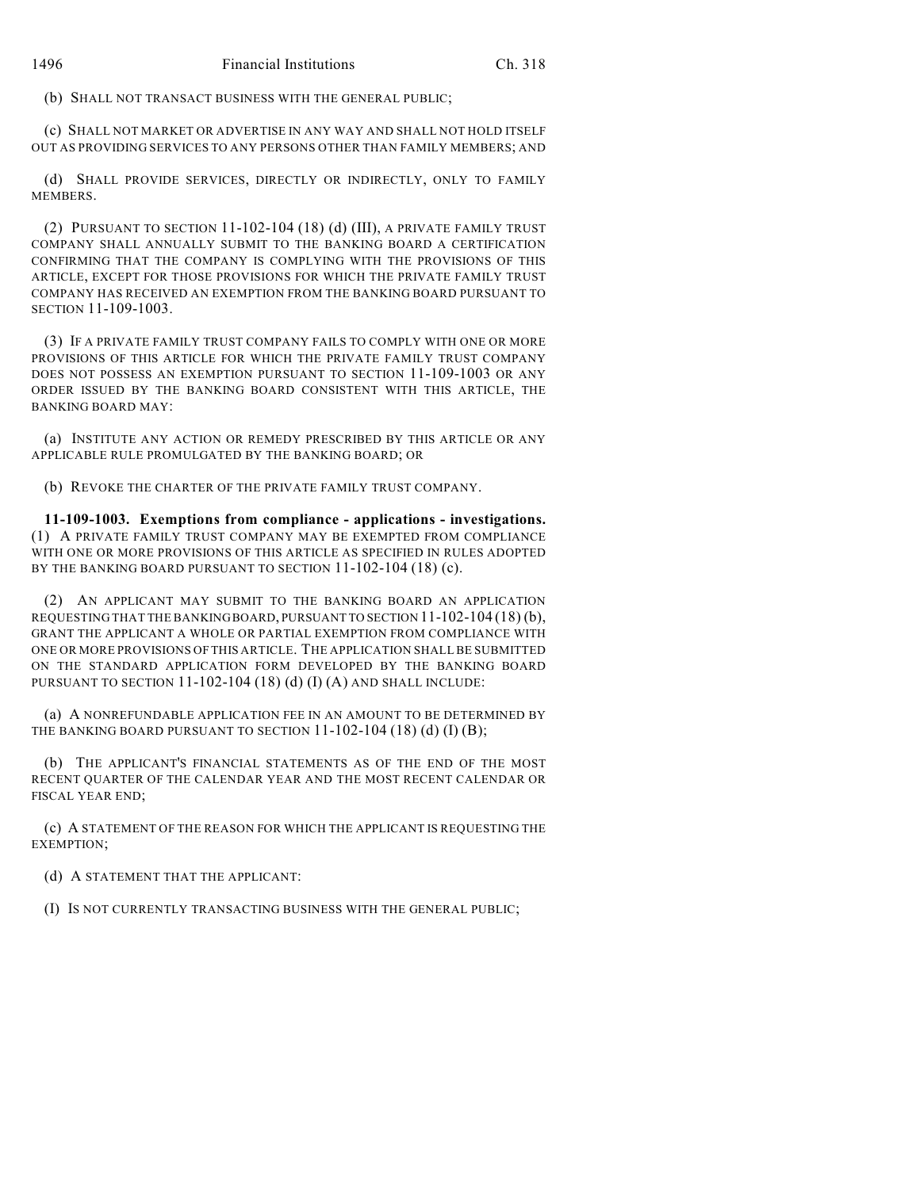(b) SHALL NOT TRANSACT BUSINESS WITH THE GENERAL PUBLIC;

(c) SHALL NOT MARKET OR ADVERTISE IN ANY WAY AND SHALL NOT HOLD ITSELF OUT AS PROVIDING SERVICES TO ANY PERSONS OTHER THAN FAMILY MEMBERS; AND

(d) SHALL PROVIDE SERVICES, DIRECTLY OR INDIRECTLY, ONLY TO FAMILY **MEMBERS** 

(2) PURSUANT TO SECTION 11-102-104 (18) (d) (III), A PRIVATE FAMILY TRUST COMPANY SHALL ANNUALLY SUBMIT TO THE BANKING BOARD A CERTIFICATION CONFIRMING THAT THE COMPANY IS COMPLYING WITH THE PROVISIONS OF THIS ARTICLE, EXCEPT FOR THOSE PROVISIONS FOR WHICH THE PRIVATE FAMILY TRUST COMPANY HAS RECEIVED AN EXEMPTION FROM THE BANKING BOARD PURSUANT TO SECTION 11-109-1003.

(3) IF A PRIVATE FAMILY TRUST COMPANY FAILS TO COMPLY WITH ONE OR MORE PROVISIONS OF THIS ARTICLE FOR WHICH THE PRIVATE FAMILY TRUST COMPANY DOES NOT POSSESS AN EXEMPTION PURSUANT TO SECTION 11-109-1003 OR ANY ORDER ISSUED BY THE BANKING BOARD CONSISTENT WITH THIS ARTICLE, THE BANKING BOARD MAY:

(a) INSTITUTE ANY ACTION OR REMEDY PRESCRIBED BY THIS ARTICLE OR ANY APPLICABLE RULE PROMULGATED BY THE BANKING BOARD; OR

(b) REVOKE THE CHARTER OF THE PRIVATE FAMILY TRUST COMPANY.

**11-109-1003. Exemptions from compliance - applications - investigations.** (1) A PRIVATE FAMILY TRUST COMPANY MAY BE EXEMPTED FROM COMPLIANCE WITH ONE OR MORE PROVISIONS OF THIS ARTICLE AS SPECIFIED IN RULES ADOPTED BY THE BANKING BOARD PURSUANT TO SECTION 11-102-104 (18) (c).

(2) AN APPLICANT MAY SUBMIT TO THE BANKING BOARD AN APPLICATION REQUESTING THAT THE BANKING BOARD, PURSUANT TO SECTION 11-102-104 (18) (b), GRANT THE APPLICANT A WHOLE OR PARTIAL EXEMPTION FROM COMPLIANCE WITH ONE OR MORE PROVISIONS OF THIS ARTICLE. THE APPLICATION SHALL BE SUBMITTED ON THE STANDARD APPLICATION FORM DEVELOPED BY THE BANKING BOARD PURSUANT TO SECTION 11-102-104 (18) (d) (I) (A) AND SHALL INCLUDE:

(a) A NONREFUNDABLE APPLICATION FEE IN AN AMOUNT TO BE DETERMINED BY THE BANKING BOARD PURSUANT TO SECTION  $11-102-104$  (18) (d) (I) (B);

(b) THE APPLICANT'S FINANCIAL STATEMENTS AS OF THE END OF THE MOST RECENT QUARTER OF THE CALENDAR YEAR AND THE MOST RECENT CALENDAR OR FISCAL YEAR END;

(c) A STATEMENT OF THE REASON FOR WHICH THE APPLICANT IS REQUESTING THE EXEMPTION;

(d) A STATEMENT THAT THE APPLICANT:

(I) IS NOT CURRENTLY TRANSACTING BUSINESS WITH THE GENERAL PUBLIC;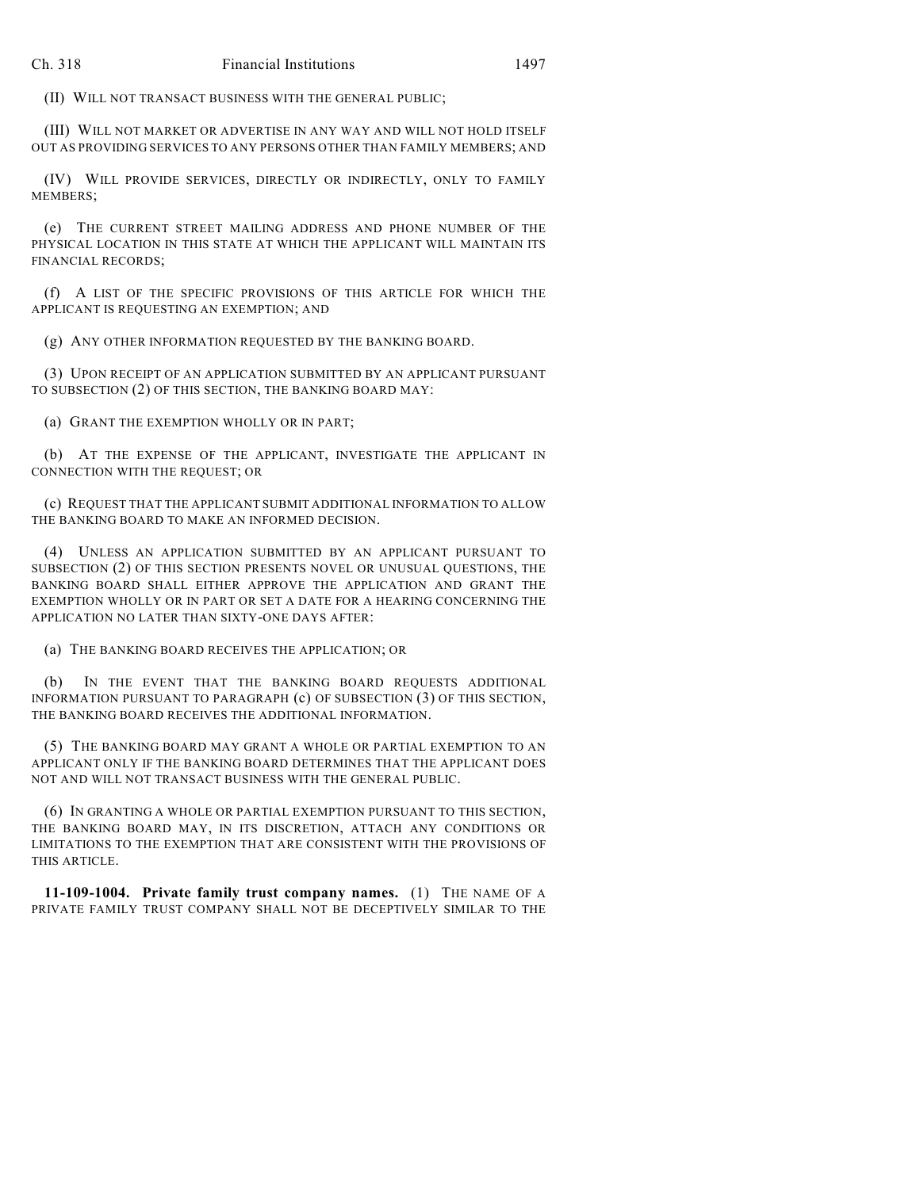(II) WILL NOT TRANSACT BUSINESS WITH THE GENERAL PUBLIC;

(III) WILL NOT MARKET OR ADVERTISE IN ANY WAY AND WILL NOT HOLD ITSELF OUT AS PROVIDING SERVICES TO ANY PERSONS OTHER THAN FAMILY MEMBERS; AND

(IV) WILL PROVIDE SERVICES, DIRECTLY OR INDIRECTLY, ONLY TO FAMILY MEMBERS;

(e) THE CURRENT STREET MAILING ADDRESS AND PHONE NUMBER OF THE PHYSICAL LOCATION IN THIS STATE AT WHICH THE APPLICANT WILL MAINTAIN ITS FINANCIAL RECORDS;

(f) A LIST OF THE SPECIFIC PROVISIONS OF THIS ARTICLE FOR WHICH THE APPLICANT IS REQUESTING AN EXEMPTION; AND

(g) ANY OTHER INFORMATION REQUESTED BY THE BANKING BOARD.

(3) UPON RECEIPT OF AN APPLICATION SUBMITTED BY AN APPLICANT PURSUANT TO SUBSECTION (2) OF THIS SECTION, THE BANKING BOARD MAY:

(a) GRANT THE EXEMPTION WHOLLY OR IN PART;

(b) AT THE EXPENSE OF THE APPLICANT, INVESTIGATE THE APPLICANT IN CONNECTION WITH THE REQUEST; OR

(c) REQUEST THAT THE APPLICANT SUBMIT ADDITIONAL INFORMATION TO ALLOW THE BANKING BOARD TO MAKE AN INFORMED DECISION.

(4) UNLESS AN APPLICATION SUBMITTED BY AN APPLICANT PURSUANT TO SUBSECTION (2) OF THIS SECTION PRESENTS NOVEL OR UNUSUAL QUESTIONS, THE BANKING BOARD SHALL EITHER APPROVE THE APPLICATION AND GRANT THE EXEMPTION WHOLLY OR IN PART OR SET A DATE FOR A HEARING CONCERNING THE APPLICATION NO LATER THAN SIXTY-ONE DAYS AFTER:

(a) THE BANKING BOARD RECEIVES THE APPLICATION; OR

(b) IN THE EVENT THAT THE BANKING BOARD REQUESTS ADDITIONAL INFORMATION PURSUANT TO PARAGRAPH (c) OF SUBSECTION (3) OF THIS SECTION, THE BANKING BOARD RECEIVES THE ADDITIONAL INFORMATION.

(5) THE BANKING BOARD MAY GRANT A WHOLE OR PARTIAL EXEMPTION TO AN APPLICANT ONLY IF THE BANKING BOARD DETERMINES THAT THE APPLICANT DOES NOT AND WILL NOT TRANSACT BUSINESS WITH THE GENERAL PUBLIC.

(6) IN GRANTING A WHOLE OR PARTIAL EXEMPTION PURSUANT TO THIS SECTION, THE BANKING BOARD MAY, IN ITS DISCRETION, ATTACH ANY CONDITIONS OR LIMITATIONS TO THE EXEMPTION THAT ARE CONSISTENT WITH THE PROVISIONS OF THIS ARTICLE.

**11-109-1004. Private family trust company names.** (1) THE NAME OF A PRIVATE FAMILY TRUST COMPANY SHALL NOT BE DECEPTIVELY SIMILAR TO THE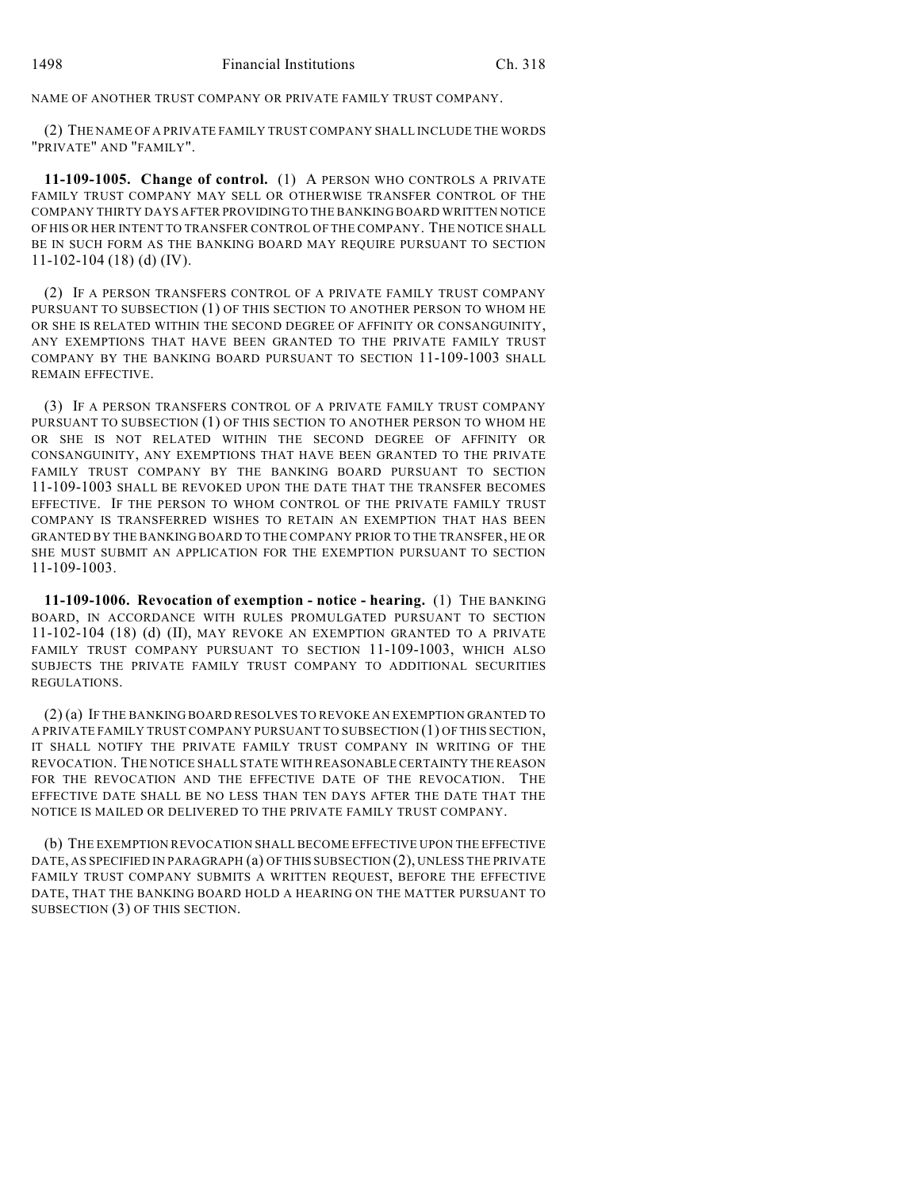NAME OF ANOTHER TRUST COMPANY OR PRIVATE FAMILY TRUST COMPANY.

(2) THE NAME OF A PRIVATE FAMILY TRUST COMPANY SHALL INCLUDE THE WORDS "PRIVATE" AND "FAMILY".

**11-109-1005. Change of control.** (1) A PERSON WHO CONTROLS A PRIVATE FAMILY TRUST COMPANY MAY SELL OR OTHERWISE TRANSFER CONTROL OF THE COMPANY THIRTY DAYS AFTER PROVIDING TO THE BANKING BOARD WRITTEN NOTICE OF HIS OR HER INTENT TO TRANSFER CONTROL OF THE COMPANY. THE NOTICE SHALL BE IN SUCH FORM AS THE BANKING BOARD MAY REQUIRE PURSUANT TO SECTION 11-102-104 (18) (d) (IV).

(2) IF A PERSON TRANSFERS CONTROL OF A PRIVATE FAMILY TRUST COMPANY PURSUANT TO SUBSECTION (1) OF THIS SECTION TO ANOTHER PERSON TO WHOM HE OR SHE IS RELATED WITHIN THE SECOND DEGREE OF AFFINITY OR CONSANGUINITY, ANY EXEMPTIONS THAT HAVE BEEN GRANTED TO THE PRIVATE FAMILY TRUST COMPANY BY THE BANKING BOARD PURSUANT TO SECTION 11-109-1003 SHALL REMAIN EFFECTIVE.

(3) IF A PERSON TRANSFERS CONTROL OF A PRIVATE FAMILY TRUST COMPANY PURSUANT TO SUBSECTION (1) OF THIS SECTION TO ANOTHER PERSON TO WHOM HE OR SHE IS NOT RELATED WITHIN THE SECOND DEGREE OF AFFINITY OR CONSANGUINITY, ANY EXEMPTIONS THAT HAVE BEEN GRANTED TO THE PRIVATE FAMILY TRUST COMPANY BY THE BANKING BOARD PURSUANT TO SECTION 11-109-1003 SHALL BE REVOKED UPON THE DATE THAT THE TRANSFER BECOMES EFFECTIVE. IF THE PERSON TO WHOM CONTROL OF THE PRIVATE FAMILY TRUST COMPANY IS TRANSFERRED WISHES TO RETAIN AN EXEMPTION THAT HAS BEEN GRANTED BY THE BANKING BOARD TO THE COMPANY PRIOR TO THE TRANSFER, HE OR SHE MUST SUBMIT AN APPLICATION FOR THE EXEMPTION PURSUANT TO SECTION 11-109-1003.

**11-109-1006. Revocation of exemption - notice - hearing.** (1) THE BANKING BOARD, IN ACCORDANCE WITH RULES PROMULGATED PURSUANT TO SECTION 11-102-104 (18) (d) (II), MAY REVOKE AN EXEMPTION GRANTED TO A PRIVATE FAMILY TRUST COMPANY PURSUANT TO SECTION 11-109-1003, WHICH ALSO SUBJECTS THE PRIVATE FAMILY TRUST COMPANY TO ADDITIONAL SECURITIES REGULATIONS.

(2) (a) IF THE BANKING BOARD RESOLVES TO REVOKE AN EXEMPTION GRANTED TO A PRIVATE FAMILY TRUST COMPANY PURSUANT TO SUBSECTION (1) OF THIS SECTION, IT SHALL NOTIFY THE PRIVATE FAMILY TRUST COMPANY IN WRITING OF THE REVOCATION. THE NOTICE SHALL STATE WITH REASONABLE CERTAINTY THE REASON FOR THE REVOCATION AND THE EFFECTIVE DATE OF THE REVOCATION. THE EFFECTIVE DATE SHALL BE NO LESS THAN TEN DAYS AFTER THE DATE THAT THE NOTICE IS MAILED OR DELIVERED TO THE PRIVATE FAMILY TRUST COMPANY.

(b) THE EXEMPTION REVOCATION SHALL BECOME EFFECTIVE UPON THE EFFECTIVE DATE, AS SPECIFIED IN PARAGRAPH (a) OF THIS SUBSECTION (2), UNLESS THE PRIVATE FAMILY TRUST COMPANY SUBMITS A WRITTEN REQUEST, BEFORE THE EFFECTIVE DATE, THAT THE BANKING BOARD HOLD A HEARING ON THE MATTER PURSUANT TO SUBSECTION (3) OF THIS SECTION.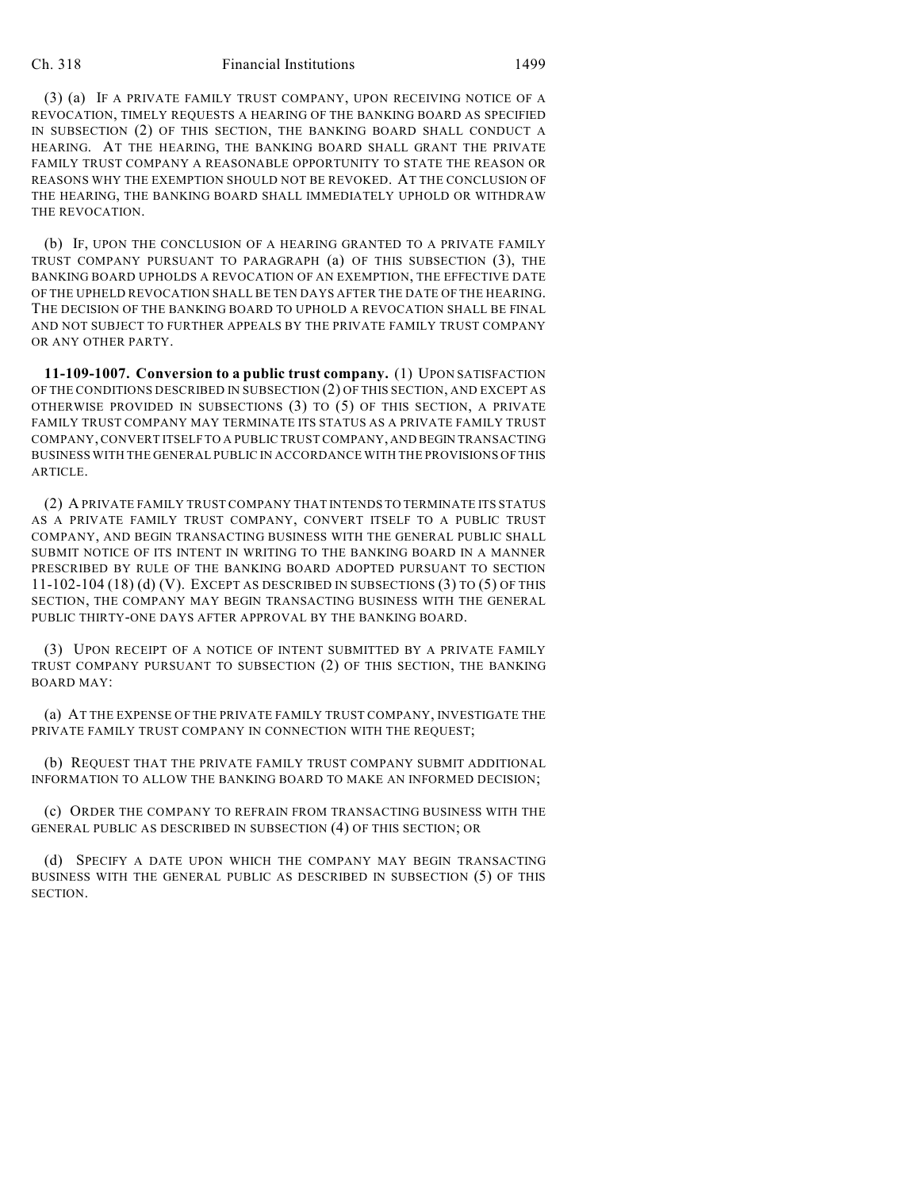## Ch. 318 Financial Institutions 1499

(3) (a) IF A PRIVATE FAMILY TRUST COMPANY, UPON RECEIVING NOTICE OF A REVOCATION, TIMELY REQUESTS A HEARING OF THE BANKING BOARD AS SPECIFIED IN SUBSECTION (2) OF THIS SECTION, THE BANKING BOARD SHALL CONDUCT A HEARING. AT THE HEARING, THE BANKING BOARD SHALL GRANT THE PRIVATE FAMILY TRUST COMPANY A REASONABLE OPPORTUNITY TO STATE THE REASON OR REASONS WHY THE EXEMPTION SHOULD NOT BE REVOKED. AT THE CONCLUSION OF THE HEARING, THE BANKING BOARD SHALL IMMEDIATELY UPHOLD OR WITHDRAW THE REVOCATION.

(b) IF, UPON THE CONCLUSION OF A HEARING GRANTED TO A PRIVATE FAMILY TRUST COMPANY PURSUANT TO PARAGRAPH (a) OF THIS SUBSECTION (3), THE BANKING BOARD UPHOLDS A REVOCATION OF AN EXEMPTION, THE EFFECTIVE DATE OF THE UPHELD REVOCATION SHALL BE TEN DAYS AFTER THE DATE OF THE HEARING. THE DECISION OF THE BANKING BOARD TO UPHOLD A REVOCATION SHALL BE FINAL AND NOT SUBJECT TO FURTHER APPEALS BY THE PRIVATE FAMILY TRUST COMPANY OR ANY OTHER PARTY.

**11-109-1007. Conversion to a public trust company.** (1) UPON SATISFACTION OF THE CONDITIONS DESCRIBED IN SUBSECTION (2) OF THIS SECTION, AND EXCEPT AS OTHERWISE PROVIDED IN SUBSECTIONS (3) TO (5) OF THIS SECTION, A PRIVATE FAMILY TRUST COMPANY MAY TERMINATE ITS STATUS AS A PRIVATE FAMILY TRUST COMPANY, CONVERT ITSELF TO A PUBLIC TRUST COMPANY, AND BEGIN TRANSACTING BUSINESS WITH THE GENERAL PUBLIC IN ACCORDANCE WITH THE PROVISIONS OF THIS ARTICLE.

(2) A PRIVATE FAMILY TRUST COMPANY THAT INTENDS TO TERMINATE ITS STATUS AS A PRIVATE FAMILY TRUST COMPANY, CONVERT ITSELF TO A PUBLIC TRUST COMPANY, AND BEGIN TRANSACTING BUSINESS WITH THE GENERAL PUBLIC SHALL SUBMIT NOTICE OF ITS INTENT IN WRITING TO THE BANKING BOARD IN A MANNER PRESCRIBED BY RULE OF THE BANKING BOARD ADOPTED PURSUANT TO SECTION 11-102-104 (18) (d) (V). EXCEPT AS DESCRIBED IN SUBSECTIONS (3) TO (5) OF THIS SECTION, THE COMPANY MAY BEGIN TRANSACTING BUSINESS WITH THE GENERAL PUBLIC THIRTY-ONE DAYS AFTER APPROVAL BY THE BANKING BOARD.

(3) UPON RECEIPT OF A NOTICE OF INTENT SUBMITTED BY A PRIVATE FAMILY TRUST COMPANY PURSUANT TO SUBSECTION (2) OF THIS SECTION, THE BANKING BOARD MAY:

(a) AT THE EXPENSE OF THE PRIVATE FAMILY TRUST COMPANY, INVESTIGATE THE PRIVATE FAMILY TRUST COMPANY IN CONNECTION WITH THE REQUEST;

(b) REQUEST THAT THE PRIVATE FAMILY TRUST COMPANY SUBMIT ADDITIONAL INFORMATION TO ALLOW THE BANKING BOARD TO MAKE AN INFORMED DECISION;

(c) ORDER THE COMPANY TO REFRAIN FROM TRANSACTING BUSINESS WITH THE GENERAL PUBLIC AS DESCRIBED IN SUBSECTION (4) OF THIS SECTION; OR

(d) SPECIFY A DATE UPON WHICH THE COMPANY MAY BEGIN TRANSACTING BUSINESS WITH THE GENERAL PUBLIC AS DESCRIBED IN SUBSECTION (5) OF THIS SECTION.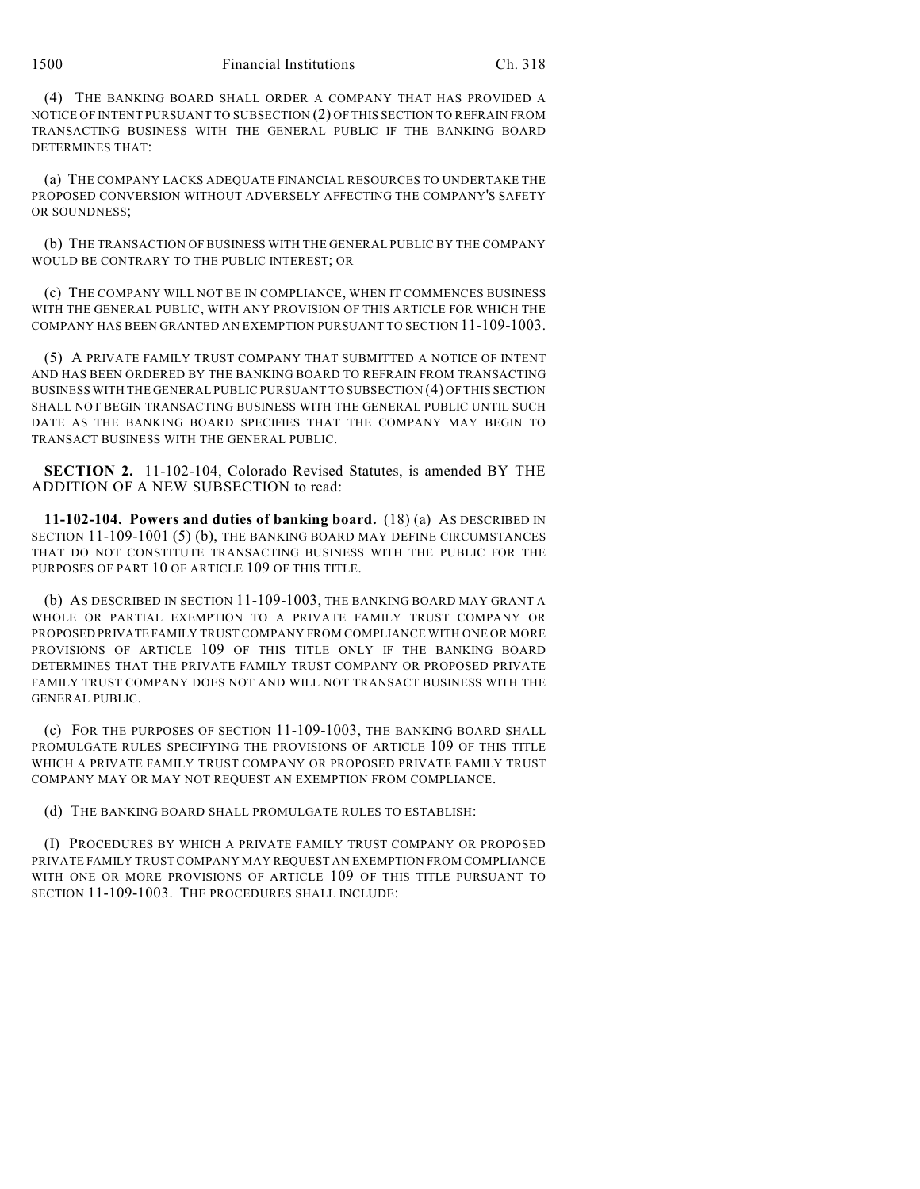(4) THE BANKING BOARD SHALL ORDER A COMPANY THAT HAS PROVIDED A NOTICE OF INTENT PURSUANT TO SUBSECTION (2) OF THIS SECTION TO REFRAIN FROM TRANSACTING BUSINESS WITH THE GENERAL PUBLIC IF THE BANKING BOARD DETERMINES THAT:

(a) THE COMPANY LACKS ADEQUATE FINANCIAL RESOURCES TO UNDERTAKE THE PROPOSED CONVERSION WITHOUT ADVERSELY AFFECTING THE COMPANY'S SAFETY OR SOUNDNESS;

(b) THE TRANSACTION OF BUSINESS WITH THE GENERAL PUBLIC BY THE COMPANY WOULD BE CONTRARY TO THE PUBLIC INTEREST; OR

(c) THE COMPANY WILL NOT BE IN COMPLIANCE, WHEN IT COMMENCES BUSINESS WITH THE GENERAL PUBLIC, WITH ANY PROVISION OF THIS ARTICLE FOR WHICH THE COMPANY HAS BEEN GRANTED AN EXEMPTION PURSUANT TO SECTION 11-109-1003.

(5) A PRIVATE FAMILY TRUST COMPANY THAT SUBMITTED A NOTICE OF INTENT AND HAS BEEN ORDERED BY THE BANKING BOARD TO REFRAIN FROM TRANSACTING BUSINESS WITH THE GENERAL PUBLIC PURSUANT TO SUBSECTION (4) OF THIS SECTION SHALL NOT BEGIN TRANSACTING BUSINESS WITH THE GENERAL PUBLIC UNTIL SUCH DATE AS THE BANKING BOARD SPECIFIES THAT THE COMPANY MAY BEGIN TO TRANSACT BUSINESS WITH THE GENERAL PUBLIC.

**SECTION 2.** 11-102-104, Colorado Revised Statutes, is amended BY THE ADDITION OF A NEW SUBSECTION to read:

**11-102-104. Powers and duties of banking board.** (18) (a) AS DESCRIBED IN SECTION 11-109-1001 (5) (b), THE BANKING BOARD MAY DEFINE CIRCUMSTANCES THAT DO NOT CONSTITUTE TRANSACTING BUSINESS WITH THE PUBLIC FOR THE PURPOSES OF PART 10 OF ARTICLE 109 OF THIS TITLE.

(b) AS DESCRIBED IN SECTION 11-109-1003, THE BANKING BOARD MAY GRANT A WHOLE OR PARTIAL EXEMPTION TO A PRIVATE FAMILY TRUST COMPANY OR PROPOSED PRIVATE FAMILY TRUST COMPANY FROM COMPLIANCE WITH ONE OR MORE PROVISIONS OF ARTICLE 109 OF THIS TITLE ONLY IF THE BANKING BOARD DETERMINES THAT THE PRIVATE FAMILY TRUST COMPANY OR PROPOSED PRIVATE FAMILY TRUST COMPANY DOES NOT AND WILL NOT TRANSACT BUSINESS WITH THE GENERAL PUBLIC.

(c) FOR THE PURPOSES OF SECTION 11-109-1003, THE BANKING BOARD SHALL PROMULGATE RULES SPECIFYING THE PROVISIONS OF ARTICLE 109 OF THIS TITLE WHICH A PRIVATE FAMILY TRUST COMPANY OR PROPOSED PRIVATE FAMILY TRUST COMPANY MAY OR MAY NOT REQUEST AN EXEMPTION FROM COMPLIANCE.

(d) THE BANKING BOARD SHALL PROMULGATE RULES TO ESTABLISH:

(I) PROCEDURES BY WHICH A PRIVATE FAMILY TRUST COMPANY OR PROPOSED PRIVATE FAMILY TRUST COMPANY MAY REQUEST AN EXEMPTION FROM COMPLIANCE WITH ONE OR MORE PROVISIONS OF ARTICLE 109 OF THIS TITLE PURSUANT TO SECTION 11-109-1003. THE PROCEDURES SHALL INCLUDE: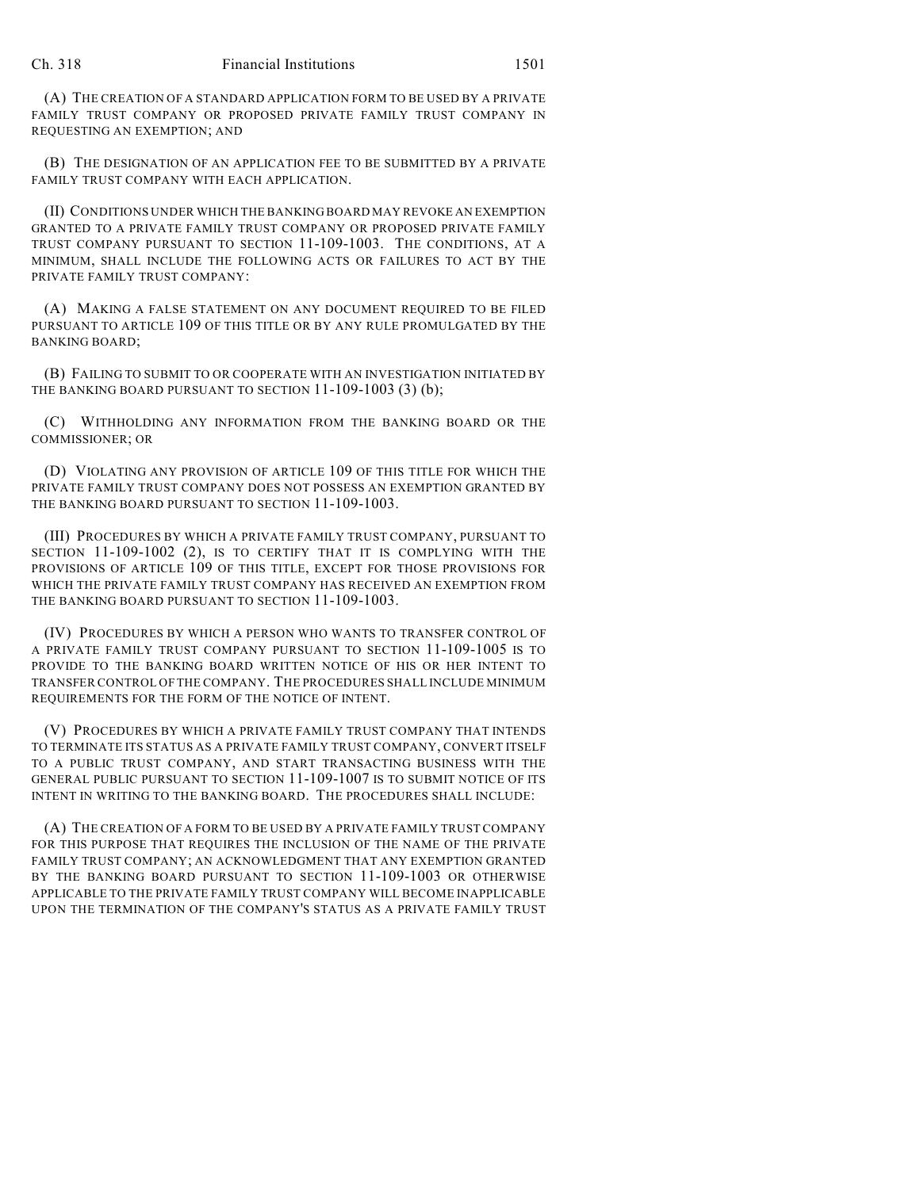(A) THE CREATION OF A STANDARD APPLICATION FORM TO BE USED BY A PRIVATE FAMILY TRUST COMPANY OR PROPOSED PRIVATE FAMILY TRUST COMPANY IN REQUESTING AN EXEMPTION; AND

(B) THE DESIGNATION OF AN APPLICATION FEE TO BE SUBMITTED BY A PRIVATE FAMILY TRUST COMPANY WITH EACH APPLICATION.

(II) CONDITIONS UNDER WHICH THE BANKING BOARD MAY REVOKE AN EXEMPTION GRANTED TO A PRIVATE FAMILY TRUST COMPANY OR PROPOSED PRIVATE FAMILY TRUST COMPANY PURSUANT TO SECTION 11-109-1003. THE CONDITIONS, AT A MINIMUM, SHALL INCLUDE THE FOLLOWING ACTS OR FAILURES TO ACT BY THE PRIVATE FAMILY TRUST COMPANY:

(A) MAKING A FALSE STATEMENT ON ANY DOCUMENT REQUIRED TO BE FILED PURSUANT TO ARTICLE 109 OF THIS TITLE OR BY ANY RULE PROMULGATED BY THE BANKING BOARD;

(B) FAILING TO SUBMIT TO OR COOPERATE WITH AN INVESTIGATION INITIATED BY THE BANKING BOARD PURSUANT TO SECTION 11-109-1003 (3) (b);

(C) WITHHOLDING ANY INFORMATION FROM THE BANKING BOARD OR THE COMMISSIONER; OR

(D) VIOLATING ANY PROVISION OF ARTICLE 109 OF THIS TITLE FOR WHICH THE PRIVATE FAMILY TRUST COMPANY DOES NOT POSSESS AN EXEMPTION GRANTED BY THE BANKING BOARD PURSUANT TO SECTION 11-109-1003.

(III) PROCEDURES BY WHICH A PRIVATE FAMILY TRUST COMPANY, PURSUANT TO SECTION 11-109-1002 (2), IS TO CERTIFY THAT IT IS COMPLYING WITH THE PROVISIONS OF ARTICLE 109 OF THIS TITLE, EXCEPT FOR THOSE PROVISIONS FOR WHICH THE PRIVATE FAMILY TRUST COMPANY HAS RECEIVED AN EXEMPTION FROM THE BANKING BOARD PURSUANT TO SECTION 11-109-1003.

(IV) PROCEDURES BY WHICH A PERSON WHO WANTS TO TRANSFER CONTROL OF A PRIVATE FAMILY TRUST COMPANY PURSUANT TO SECTION 11-109-1005 IS TO PROVIDE TO THE BANKING BOARD WRITTEN NOTICE OF HIS OR HER INTENT TO TRANSFER CONTROL OF THE COMPANY. THE PROCEDURES SHALL INCLUDE MINIMUM REQUIREMENTS FOR THE FORM OF THE NOTICE OF INTENT.

(V) PROCEDURES BY WHICH A PRIVATE FAMILY TRUST COMPANY THAT INTENDS TO TERMINATE ITS STATUS AS A PRIVATE FAMILY TRUST COMPANY, CONVERT ITSELF TO A PUBLIC TRUST COMPANY, AND START TRANSACTING BUSINESS WITH THE GENERAL PUBLIC PURSUANT TO SECTION 11-109-1007 IS TO SUBMIT NOTICE OF ITS INTENT IN WRITING TO THE BANKING BOARD. THE PROCEDURES SHALL INCLUDE:

(A) THE CREATION OF A FORM TO BE USED BY A PRIVATE FAMILY TRUST COMPANY FOR THIS PURPOSE THAT REQUIRES THE INCLUSION OF THE NAME OF THE PRIVATE FAMILY TRUST COMPANY; AN ACKNOWLEDGMENT THAT ANY EXEMPTION GRANTED BY THE BANKING BOARD PURSUANT TO SECTION 11-109-1003 OR OTHERWISE APPLICABLE TO THE PRIVATE FAMILY TRUST COMPANY WILL BECOME INAPPLICABLE UPON THE TERMINATION OF THE COMPANY'S STATUS AS A PRIVATE FAMILY TRUST